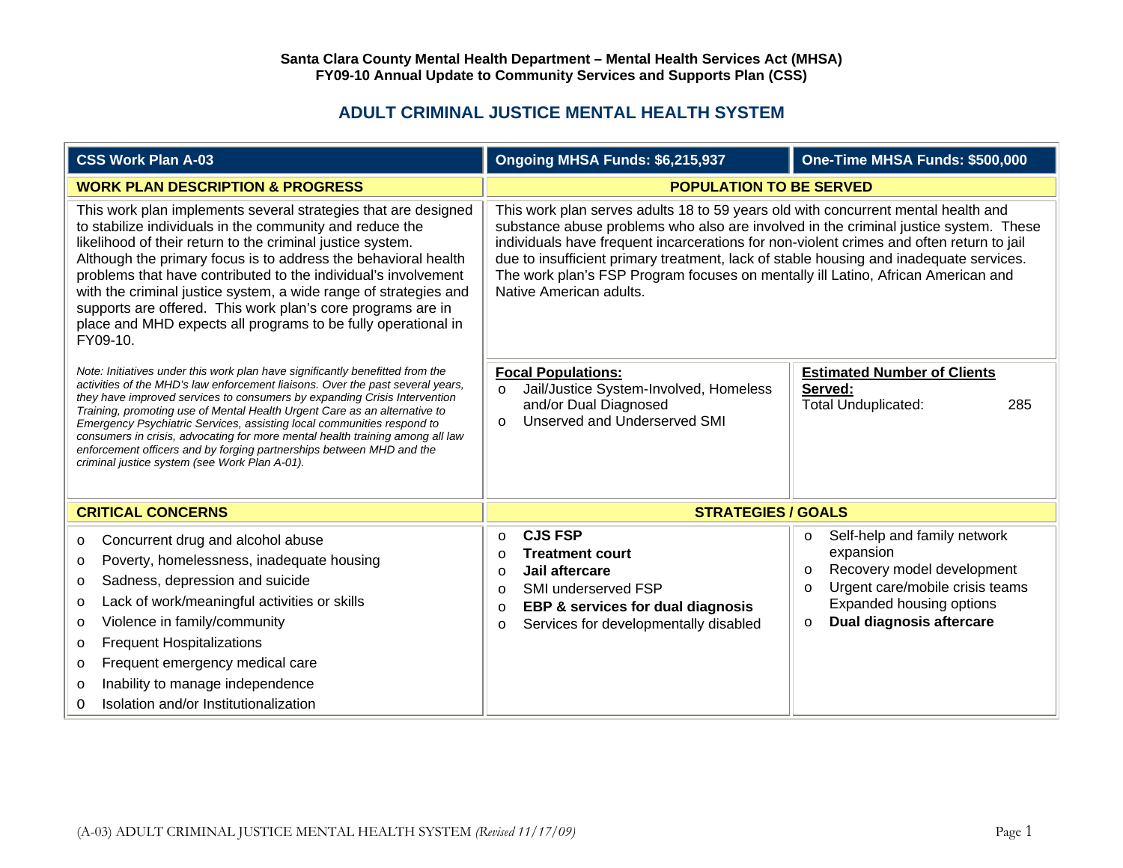## **ADULT CRIMINAL JUSTICE MENTAL HEALTH SYSTEM**

| <b>CSS Work Plan A-03</b>                                                                                                                                                                                                                                                                                                                                                                                                                                                                                                                                                                                     | Ongoing MHSA Funds: \$6,215,937                                                                                                                                                                                                                                                                                                                                                                                                                                                | One-Time MHSA Funds: \$500,000                                                                                                                                                                                         |
|---------------------------------------------------------------------------------------------------------------------------------------------------------------------------------------------------------------------------------------------------------------------------------------------------------------------------------------------------------------------------------------------------------------------------------------------------------------------------------------------------------------------------------------------------------------------------------------------------------------|--------------------------------------------------------------------------------------------------------------------------------------------------------------------------------------------------------------------------------------------------------------------------------------------------------------------------------------------------------------------------------------------------------------------------------------------------------------------------------|------------------------------------------------------------------------------------------------------------------------------------------------------------------------------------------------------------------------|
| <b>WORK PLAN DESCRIPTION &amp; PROGRESS</b>                                                                                                                                                                                                                                                                                                                                                                                                                                                                                                                                                                   | <b>POPULATION TO BE SERVED</b>                                                                                                                                                                                                                                                                                                                                                                                                                                                 |                                                                                                                                                                                                                        |
| This work plan implements several strategies that are designed<br>to stabilize individuals in the community and reduce the<br>likelihood of their return to the criminal justice system.<br>Although the primary focus is to address the behavioral health<br>problems that have contributed to the individual's involvement<br>with the criminal justice system, a wide range of strategies and<br>supports are offered. This work plan's core programs are in<br>place and MHD expects all programs to be fully operational in<br>FY09-10.                                                                  | This work plan serves adults 18 to 59 years old with concurrent mental health and<br>substance abuse problems who also are involved in the criminal justice system. These<br>individuals have frequent incarcerations for non-violent crimes and often return to jail<br>due to insufficient primary treatment, lack of stable housing and inadequate services.<br>The work plan's FSP Program focuses on mentally ill Latino, African American and<br>Native American adults. |                                                                                                                                                                                                                        |
| Note: Initiatives under this work plan have significantly benefitted from the<br>activities of the MHD's law enforcement liaisons. Over the past several years,<br>they have improved services to consumers by expanding Crisis Intervention<br>Training, promoting use of Mental Health Urgent Care as an alternative to<br>Emergency Psychiatric Services, assisting local communities respond to<br>consumers in crisis, advocating for more mental health training among all law<br>enforcement officers and by forging partnerships between MHD and the<br>criminal justice system (see Work Plan A-01). | <b>Focal Populations:</b><br>Jail/Justice System-Involved, Homeless<br>$\circ$<br>and/or Dual Diagnosed<br>Unserved and Underserved SMI<br>$\circ$                                                                                                                                                                                                                                                                                                                             | <b>Estimated Number of Clients</b><br>Served:<br><b>Total Unduplicated:</b><br>285                                                                                                                                     |
| <b>CRITICAL CONCERNS</b>                                                                                                                                                                                                                                                                                                                                                                                                                                                                                                                                                                                      | <b>STRATEGIES / GOALS</b>                                                                                                                                                                                                                                                                                                                                                                                                                                                      |                                                                                                                                                                                                                        |
| Concurrent drug and alcohol abuse<br>$\circ$<br>Poverty, homelessness, inadequate housing<br>$\circ$<br>Sadness, depression and suicide<br>$\circ$<br>Lack of work/meaningful activities or skills<br>$\circ$<br>Violence in family/community<br>$\circ$<br><b>Frequent Hospitalizations</b><br>$\circ$<br>Frequent emergency medical care<br>$\circ$<br>Inability to manage independence<br>$\circ$<br>Isolation and/or Institutionalization<br>0                                                                                                                                                            | <b>CJS FSP</b><br>$\circ$<br><b>Treatment court</b><br>$\Omega$<br>Jail aftercare<br>$\Omega$<br>SMI underserved FSP<br>$\Omega$<br><b>EBP &amp; services for dual diagnosis</b><br>$\circ$<br>Services for developmentally disabled<br>$\circ$                                                                                                                                                                                                                                | Self-help and family network<br>$\circ$<br>expansion<br>Recovery model development<br>$\circ$<br>Urgent care/mobile crisis teams<br>$\Omega$<br><b>Expanded housing options</b><br>Dual diagnosis aftercare<br>$\circ$ |